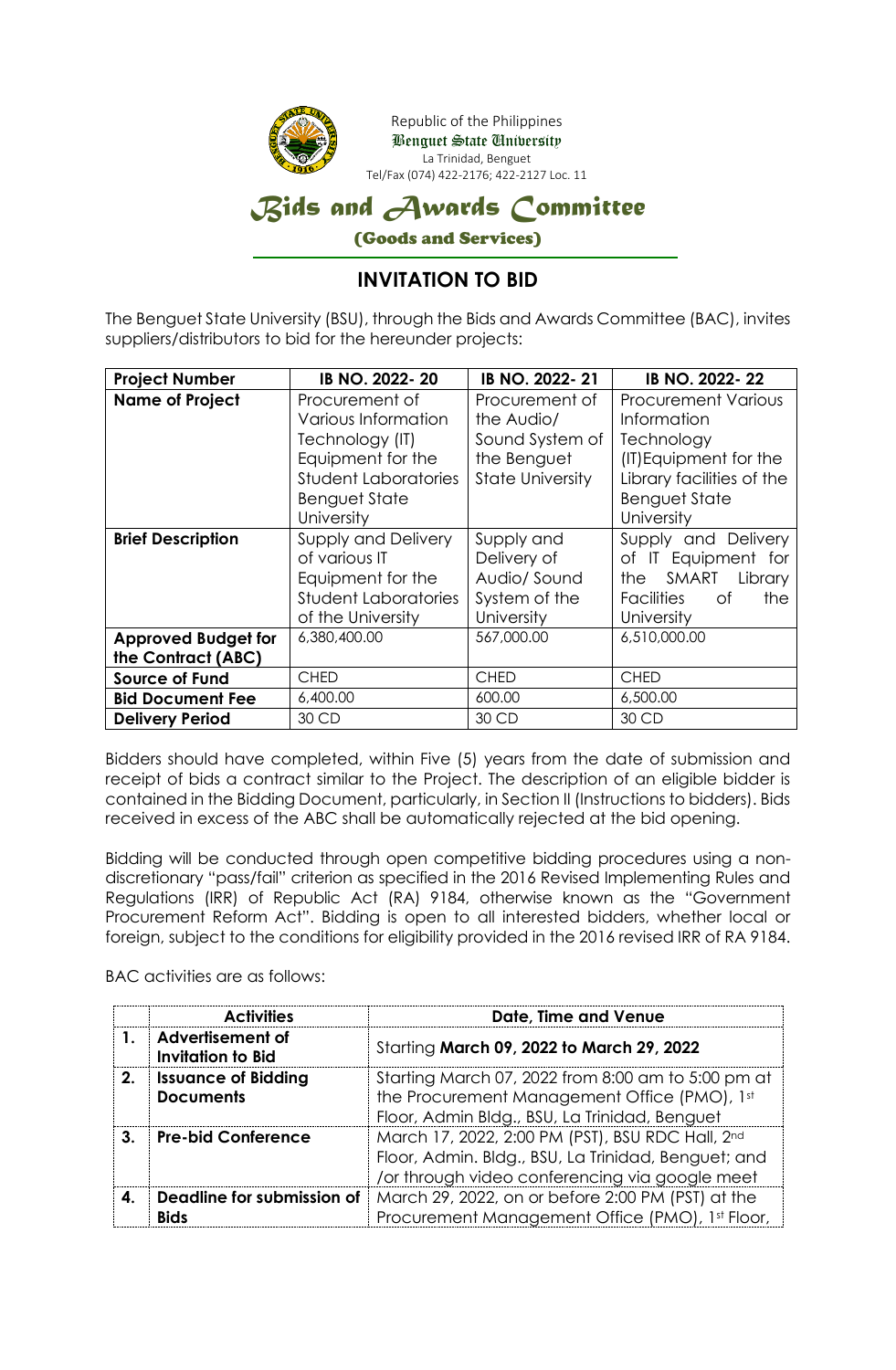

## **INVITATION TO BID**

The Benguet State University (BSU), through the Bids and Awards Committee (BAC), invites suppliers/distributors to bid for the hereunder projects:

| <b>Project Number</b><br>IB NO. 2022-20    |                             | IB NO. 2022-21          | IB NO. 2022-22                 |
|--------------------------------------------|-----------------------------|-------------------------|--------------------------------|
| <b>Name of Project</b>                     | Procurement of              | Procurement of          | <b>Procurement Various</b>     |
|                                            | Various Information         | the Audio/              | <b>Information</b>             |
|                                            | Technology (IT)             | Sound System of         | Technology                     |
|                                            | Equipment for the           | the Benguet             | (IT) Equipment for the         |
|                                            | <b>Student Laboratories</b> | <b>State University</b> | Library facilities of the      |
|                                            | <b>Benguet State</b>        |                         | <b>Benguet State</b>           |
|                                            | University                  |                         | University                     |
| <b>Brief Description</b>                   | <b>Supply and Delivery</b>  | Supply and              | Supply and Delivery            |
|                                            | of various IT               | Delivery of             | of IT Equipment for            |
|                                            | Equipment for the           | Audio/Sound             | SMART<br>the<br>Library        |
|                                            | <b>Student Laboratories</b> | System of the           | <b>Facilities</b><br>Οf<br>the |
|                                            | of the University           | University              | University                     |
| <b>Approved Budget for</b><br>6,380,400.00 |                             | 567,000.00              | 6,510,000.00                   |
| the Contract (ABC)                         |                             |                         |                                |
| <b>Source of Fund</b>                      | <b>CHED</b>                 | <b>CHED</b>             | <b>CHED</b>                    |
| <b>Bid Document Fee</b>                    | 6,400.00                    | 600.00                  | 6,500.00                       |
| <b>Delivery Period</b>                     | 30 CD                       | 30 CD                   | 30 CD                          |

Bidders should have completed, within Five (5) years from the date of submission and receipt of bids a contract similar to the Project. The description of an eligible bidder is contained in the Bidding Document, particularly, in Section II (Instructions to bidders). Bids received in excess of the ABC shall be automatically rejected at the bid opening.

Bidding will be conducted through open competitive bidding procedures using a nondiscretionary "pass/fail" criterion as specified in the 2016 Revised Implementing Rules and Regulations (IRR) of Republic Act (RA) 9184, otherwise known as the "Government Procurement Reform Act". Bidding is open to all interested bidders, whether local or foreign, subject to the conditions for eligibility provided in the 2016 revised IRR of RA 9184.

BAC activities are as follows:

|                | <b>Activities</b>                            | Date, Time and Venue                                                                                                                                      |
|----------------|----------------------------------------------|-----------------------------------------------------------------------------------------------------------------------------------------------------------|
|                | Advertisement of<br><b>Invitation to Bid</b> | Starting March 09, 2022 to March 29, 2022                                                                                                                 |
| 2 <sub>1</sub> | <b>Issuance of Bidding</b>                   | Starting March 07, 2022 from 8:00 am to 5:00 pm at                                                                                                        |
|                | <b>Documents</b>                             | the Procurement Management Office (PMO), 1st<br>Floor, Admin Bldg., BSU, La Trinidad, Benguet                                                             |
| З.             | <b>Pre-bid Conference</b>                    | March 17, 2022, 2:00 PM (PST), BSU RDC Hall, 2nd<br>Floor, Admin. Bldg., BSU, La Trinidad, Benguet; and<br>/or through video conferencing via google meet |
| $\mathbf{4}$   | Deadline for submission of<br><b>Bids</b>    | March 29, 2022, on or before 2:00 PM (PST) at the<br>Procurement Management Office (PMO), 1st Floor,                                                      |